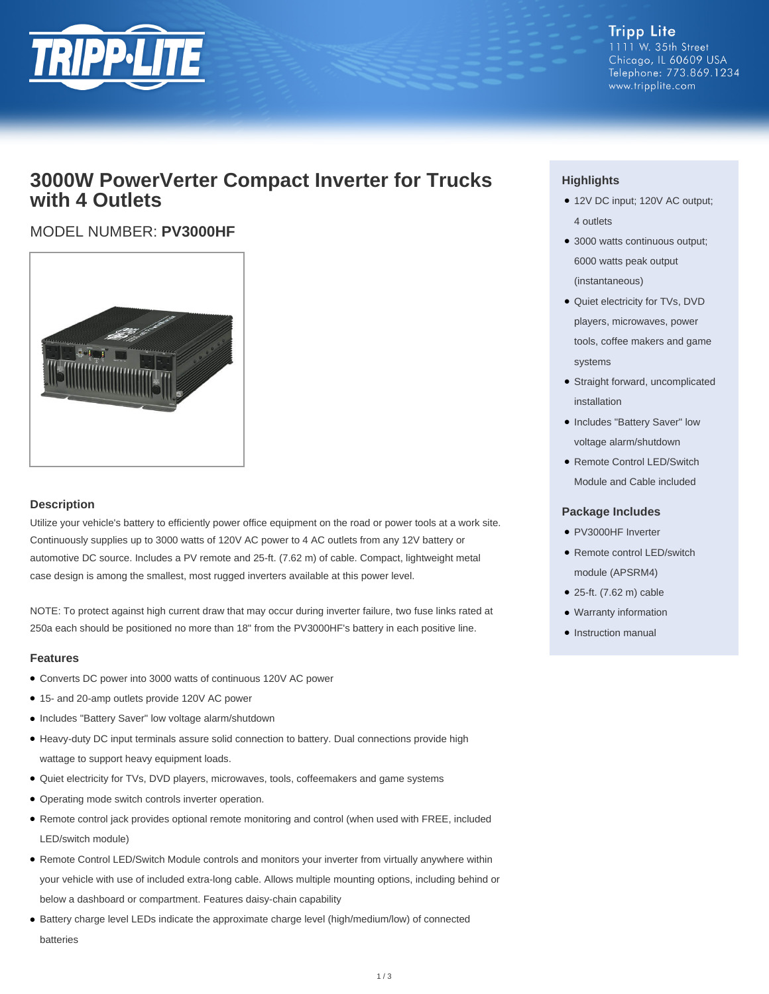

**Tripp Lite** 1111 W. 35th Street Chicago, IL 60609 USA Telephone: 773.869.1234 www.tripplite.com

## **3000W PowerVerter Compact Inverter for Trucks with 4 Outlets**

### MODEL NUMBER: **PV3000HF**



#### **Description**

Utilize your vehicle's battery to efficiently power office equipment on the road or power tools at a work site. Continuously supplies up to 3000 watts of 120V AC power to 4 AC outlets from any 12V battery or automotive DC source. Includes a PV remote and 25-ft. (7.62 m) of cable. Compact, lightweight metal case design is among the smallest, most rugged inverters available at this power level.

NOTE: To protect against high current draw that may occur during inverter failure, two fuse links rated at 250a each should be positioned no more than 18" from the PV3000HF's battery in each positive line.

#### **Features**

- Converts DC power into 3000 watts of continuous 120V AC power
- 15- and 20-amp outlets provide 120V AC power
- Includes "Battery Saver" low voltage alarm/shutdown
- Heavy-duty DC input terminals assure solid connection to battery. Dual connections provide high wattage to support heavy equipment loads.
- Quiet electricity for TVs, DVD players, microwaves, tools, coffeemakers and game systems
- Operating mode switch controls inverter operation.
- Remote control jack provides optional remote monitoring and control (when used with FREE, included LED/switch module)
- Remote Control LED/Switch Module controls and monitors your inverter from virtually anywhere within your vehicle with use of included extra-long cable. Allows multiple mounting options, including behind or below a dashboard or compartment. Features daisy-chain capability
- Battery charge level LEDs indicate the approximate charge level (high/medium/low) of connected batteries

#### **Highlights**

- 12V DC input; 120V AC output; 4 outlets
- 3000 watts continuous output; 6000 watts peak output (instantaneous)
- Quiet electricity for TVs, DVD players, microwaves, power tools, coffee makers and game systems
- Straight forward, uncomplicated installation
- Includes "Battery Saver" low voltage alarm/shutdown
- Remote Control LED/Switch Module and Cable included

#### **Package Includes**

- PV3000HF Inverter
- Remote control LED/switch module (APSRM4)
- 25-ft. (7.62 m) cable
- Warranty information
- Instruction manual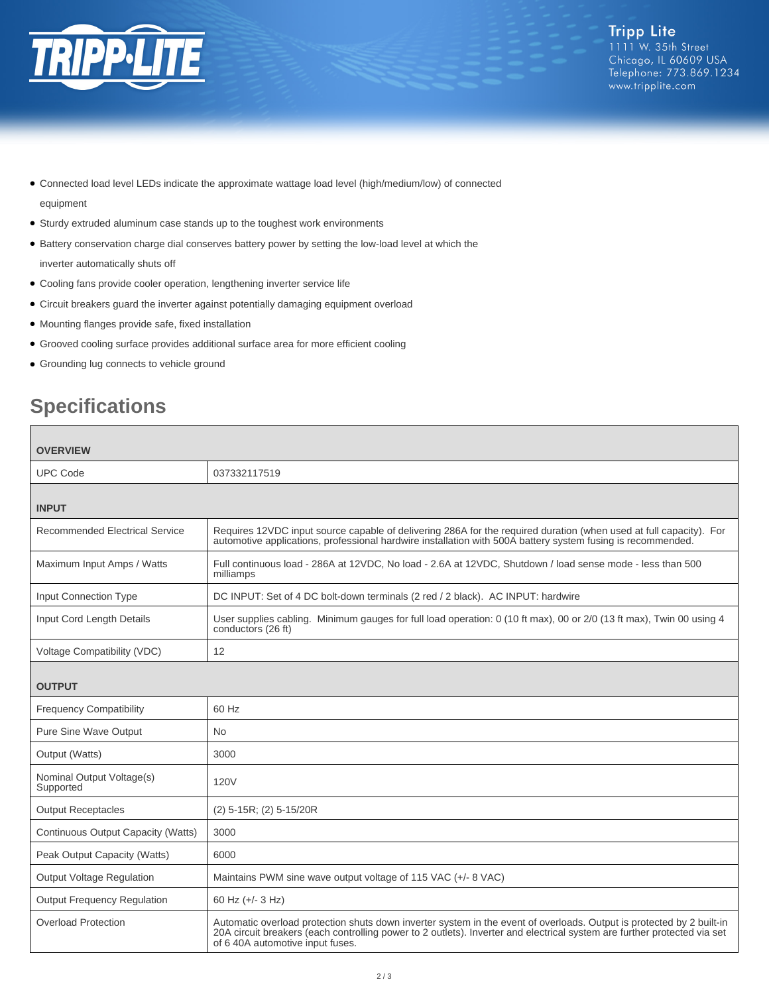

- Connected load level LEDs indicate the approximate wattage load level (high/medium/low) of connected equipment
- Sturdy extruded aluminum case stands up to the toughest work environments
- Battery conservation charge dial conserves battery power by setting the low-load level at which the inverter automatically shuts off
- Cooling fans provide cooler operation, lengthening inverter service life
- Circuit breakers guard the inverter against potentially damaging equipment overload
- Mounting flanges provide safe, fixed installation
- Grooved cooling surface provides additional surface area for more efficient cooling
- Grounding lug connects to vehicle ground

# **Specifications**

| <b>OVERVIEW</b>                        |                                                                                                                                                                                                                                                                                       |
|----------------------------------------|---------------------------------------------------------------------------------------------------------------------------------------------------------------------------------------------------------------------------------------------------------------------------------------|
| <b>UPC Code</b>                        | 037332117519                                                                                                                                                                                                                                                                          |
| <b>INPUT</b>                           |                                                                                                                                                                                                                                                                                       |
| Recommended Electrical Service         | Requires 12VDC input source capable of delivering 286A for the required duration (when used at full capacity). For<br>automotive applications, professional hardwire installation with 500A battery system fusing is recommended.                                                     |
| Maximum Input Amps / Watts             | Full continuous load - 286A at 12VDC, No load - 2.6A at 12VDC, Shutdown / load sense mode - less than 500<br>milliamps                                                                                                                                                                |
| <b>Input Connection Type</b>           | DC INPUT: Set of 4 DC bolt-down terminals (2 red / 2 black). AC INPUT: hardwire                                                                                                                                                                                                       |
| Input Cord Length Details              | User supplies cabling. Minimum gauges for full load operation: 0 (10 ft max), 00 or 2/0 (13 ft max), Twin 00 using 4<br>conductors (26 ft)                                                                                                                                            |
| Voltage Compatibility (VDC)            | 12                                                                                                                                                                                                                                                                                    |
| <b>OUTPUT</b>                          |                                                                                                                                                                                                                                                                                       |
| <b>Frequency Compatibility</b>         | 60 Hz                                                                                                                                                                                                                                                                                 |
| <b>Pure Sine Wave Output</b>           | No.                                                                                                                                                                                                                                                                                   |
| Output (Watts)                         | 3000                                                                                                                                                                                                                                                                                  |
| Nominal Output Voltage(s)<br>Supported | 120V                                                                                                                                                                                                                                                                                  |
| <b>Output Receptacles</b>              | (2) 5-15R; (2) 5-15/20R                                                                                                                                                                                                                                                               |
| Continuous Output Capacity (Watts)     | 3000                                                                                                                                                                                                                                                                                  |
| Peak Output Capacity (Watts)           | 6000                                                                                                                                                                                                                                                                                  |
| <b>Output Voltage Regulation</b>       | Maintains PWM sine wave output voltage of 115 VAC (+/- 8 VAC)                                                                                                                                                                                                                         |
| <b>Output Frequency Requlation</b>     | 60 Hz (+/- 3 Hz)                                                                                                                                                                                                                                                                      |
| <b>Overload Protection</b>             | Automatic overload protection shuts down inverter system in the event of overloads. Output is protected by 2 built-in<br>20A circuit breakers (each controlling power to 2 outlets). Inverter and electrical system are further protected via set<br>of 6 40A automotive input fuses. |